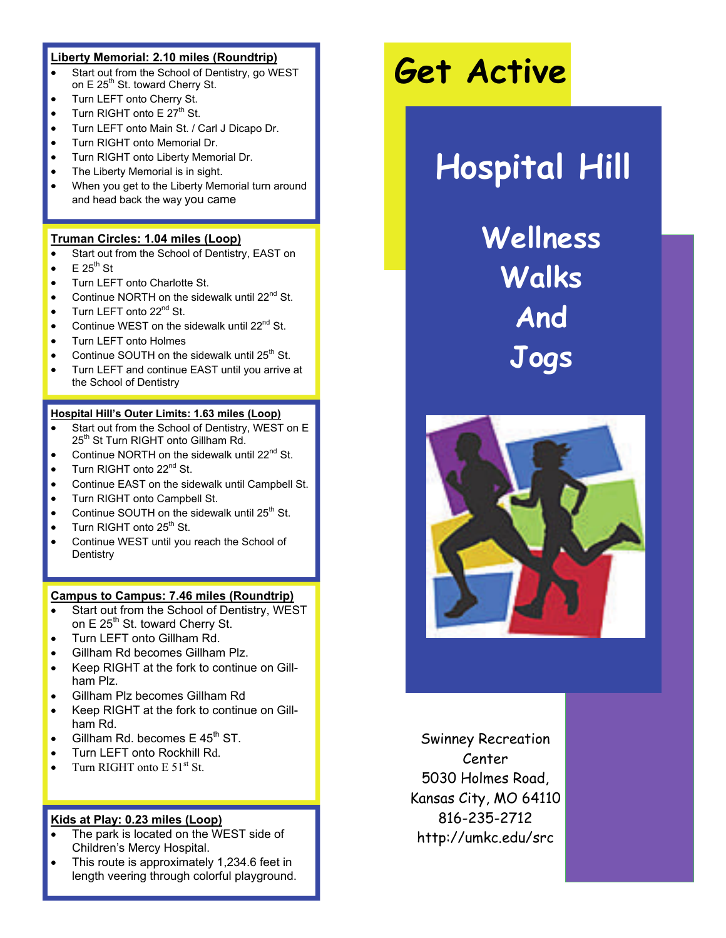### **Liberty Memorial: 2.10 miles (Roundtrip)**

- Start out from the School of Dentistry, go WEST on E 25<sup>th</sup> St. toward Cherry St.
- Turn LEFT onto Cherry St.
- Turn RIGHT onto  $E 27<sup>th</sup>$  St.
- Turn LEFT onto Main St. / Carl J Dicapo Dr.
- Turn RIGHT onto Memorial Dr.
- Turn RIGHT onto Liberty Memorial Dr.
- The Liberty Memorial is in sight.
- When you get to the Liberty Memorial turn around and head back the way you came

### **Truman Circles: 1.04 miles (Loop)**

- Start out from the School of Dentistry, EAST on
- $\bullet$  E 25<sup>th</sup> St
- Turn LEFT onto Charlotte St.
- Continue NORTH on the sidewalk until 22<sup>nd</sup> St.
- Turn LEFT onto 22<sup>nd</sup> St.
- Continue WEST on the sidewalk until 22<sup>nd</sup> St.
- Turn LEFT onto Holmes
- Continue SOUTH on the sidewalk until  $25<sup>th</sup>$  St.
- Turn LEFT and continue EAST until you arrive at the School of Dentistry

#### **Hospital Hill's Outer Limits: 1.63 miles (Loop)**

- Start out from the School of Dentistry, WEST on E 25th St Turn RIGHT onto Gillham Rd.
- Continue NORTH on the sidewalk until 22<sup>nd</sup> St.
- Turn RIGHT onto 22<sup>nd</sup> St.
- Continue EAST on the sidewalk until Campbell St.
- Turn RIGHT onto Campbell St.
- Continue SOUTH on the sidewalk until  $25<sup>th</sup>$  St.
- Turn RIGHT onto 25<sup>th</sup> St.
- Continue WEST until you reach the School of **Dentistry**

#### **Campus to Campus: 7.46 miles (Roundtrip)**

- Start out from the School of Dentistry, WEST on E 25<sup>th</sup> St. toward Cherry St.
- Turn LEFT onto Gillham Rd.
- Gillham Rd becomes Gillham Plz.
- Keep RIGHT at the fork to continue on Gillham Plz.
- Gillham Plz becomes Gillham Rd
- Keep RIGHT at the fork to continue on Gillham Rd.
- Gillham Rd. becomes  $E$  45<sup>th</sup> ST.
- Turn LEFT onto Rockhill Rd.
- Turn RIGHT onto E 51<sup>st</sup> St.

## **Kids at Play: 0.23 miles (Loop)**

- The park is located on the WEST side of Children's Mercy Hospital.
- This route is approximately 1,234.6 feet in length veering through colorful playground.

## **Get Active**

## **Hospital Hill**

**Wellness Walks And Jogs** 



Swinney Recreation Center 5030 Holmes Road, Kansas City, MO 64110 816-235-2712 http://umkc.edu/src